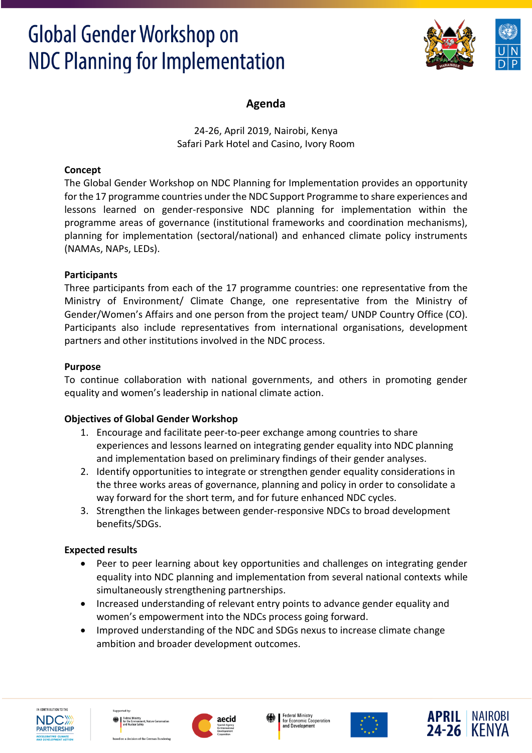

### **Agenda**

24-26, April 2019, Nairobi, Kenya Safari Park Hotel and Casino, Ivory Room

#### **Concept**

The Global Gender Workshop on NDC Planning for Implementation provides an opportunity for the 17 programme countries under the NDC Support Programme to share experiences and lessons learned on gender-responsive NDC planning for implementation within the programme areas of governance (institutional frameworks and coordination mechanisms), planning for implementation (sectoral/national) and enhanced climate policy instruments (NAMAs, NAPs, LEDs).

#### **Participants**

Three participants from each of the 17 programme countries: one representative from the Ministry of Environment/ Climate Change, one representative from the Ministry of Gender/Women's Affairs and one person from the project team/ UNDP Country Office (CO). Participants also include representatives from international organisations, development partners and other institutions involved in the NDC process.

#### **Purpose**

To continue collaboration with national governments, and others in promoting gender equality and women's leadership in national climate action.

### **Objectives of Global Gender Workshop**

- 1. Encourage and facilitate peer-to-peer exchange among countries to share experiences and lessons learned on integrating gender equality into NDC planning and implementation based on preliminary findings of their gender analyses.
- 2. Identify opportunities to integrate or strengthen gender equality considerations in the three works areas of governance, planning and policy in order to consolidate a way forward for the short term, and for future enhanced NDC cycles.
- 3. Strengthen the linkages between gender-responsive NDCs to broad development benefits/SDGs.

#### **Expected results**

- Peer to peer learning about key opportunities and challenges on integrating gender equality into NDC planning and implementation from several national contexts while simultaneously strengthening partnerships.
- Increased understanding of relevant entry points to advance gender equality and women's empowerment into the NDCs process going forward.
- Improved understanding of the NDC and SDGs nexus to increase climate change ambition and broader development outcomes.











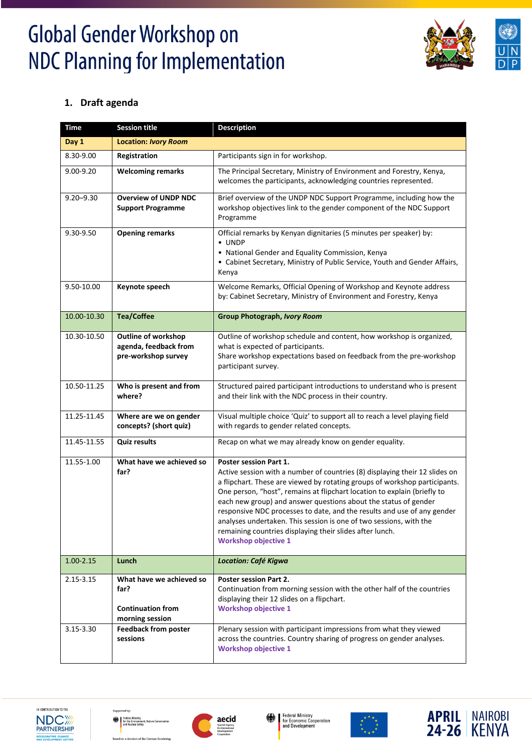

### **1. Draft agenda**

| <b>Time</b>   | <b>Session title</b>                                                            | <b>Description</b>                                                                                                                                                                                                                                                                                                                                                                                                                                                                                                                                                                    |
|---------------|---------------------------------------------------------------------------------|---------------------------------------------------------------------------------------------------------------------------------------------------------------------------------------------------------------------------------------------------------------------------------------------------------------------------------------------------------------------------------------------------------------------------------------------------------------------------------------------------------------------------------------------------------------------------------------|
| Day 1         | <b>Location: Ivory Room</b>                                                     |                                                                                                                                                                                                                                                                                                                                                                                                                                                                                                                                                                                       |
| 8.30-9.00     | Registration                                                                    | Participants sign in for workshop.                                                                                                                                                                                                                                                                                                                                                                                                                                                                                                                                                    |
| 9.00-9.20     | <b>Welcoming remarks</b>                                                        | The Principal Secretary, Ministry of Environment and Forestry, Kenya,<br>welcomes the participants, acknowledging countries represented.                                                                                                                                                                                                                                                                                                                                                                                                                                              |
| $9.20 - 9.30$ | <b>Overview of UNDP NDC</b><br><b>Support Programme</b>                         | Brief overview of the UNDP NDC Support Programme, including how the<br>workshop objectives link to the gender component of the NDC Support<br>Programme                                                                                                                                                                                                                                                                                                                                                                                                                               |
| 9.30-9.50     | <b>Opening remarks</b>                                                          | Official remarks by Kenyan dignitaries (5 minutes per speaker) by:<br>$\bullet$ UNDP<br>• National Gender and Equality Commission, Kenya<br>• Cabinet Secretary, Ministry of Public Service, Youth and Gender Affairs,<br>Kenya                                                                                                                                                                                                                                                                                                                                                       |
| 9.50-10.00    | Keynote speech                                                                  | Welcome Remarks, Official Opening of Workshop and Keynote address<br>by: Cabinet Secretary, Ministry of Environment and Forestry, Kenya                                                                                                                                                                                                                                                                                                                                                                                                                                               |
| 10.00-10.30   | <b>Tea/Coffee</b>                                                               | Group Photograph, Ivory Room                                                                                                                                                                                                                                                                                                                                                                                                                                                                                                                                                          |
| 10.30-10.50   | Outline of workshop<br>agenda, feedback from<br>pre-workshop survey             | Outline of workshop schedule and content, how workshop is organized,<br>what is expected of participants.<br>Share workshop expectations based on feedback from the pre-workshop<br>participant survey.                                                                                                                                                                                                                                                                                                                                                                               |
| 10.50-11.25   | Who is present and from<br>where?                                               | Structured paired participant introductions to understand who is present<br>and their link with the NDC process in their country.                                                                                                                                                                                                                                                                                                                                                                                                                                                     |
| 11.25-11.45   | Where are we on gender<br>concepts? (short quiz)                                | Visual multiple choice 'Quiz' to support all to reach a level playing field<br>with regards to gender related concepts.                                                                                                                                                                                                                                                                                                                                                                                                                                                               |
| 11.45-11.55   | <b>Quiz results</b>                                                             | Recap on what we may already know on gender equality.                                                                                                                                                                                                                                                                                                                                                                                                                                                                                                                                 |
| 11.55-1.00    | What have we achieved so<br>far?                                                | <b>Poster session Part 1.</b><br>Active session with a number of countries (8) displaying their 12 slides on<br>a flipchart. These are viewed by rotating groups of workshop participants.<br>One person, "host", remains at flipchart location to explain (briefly to<br>each new group) and answer questions about the status of gender<br>responsive NDC processes to date, and the results and use of any gender<br>analyses undertaken. This session is one of two sessions, with the<br>remaining countries displaying their slides after lunch.<br><b>Workshop objective 1</b> |
| $1.00 - 2.15$ | Lunch                                                                           | Location: Café Kigwa                                                                                                                                                                                                                                                                                                                                                                                                                                                                                                                                                                  |
| 2.15-3.15     | What have we achieved so<br>far?<br><b>Continuation from</b><br>morning session | <b>Poster session Part 2.</b><br>Continuation from morning session with the other half of the countries<br>displaying their 12 slides on a flipchart.<br><b>Workshop objective 1</b>                                                                                                                                                                                                                                                                                                                                                                                                  |
| 3.15-3.30     | <b>Feedback from poster</b><br>sessions                                         | Plenary session with participant impressions from what they viewed<br>across the countries. Country sharing of progress on gender analyses.<br><b>Workshop objective 1</b>                                                                                                                                                                                                                                                                                                                                                                                                            |











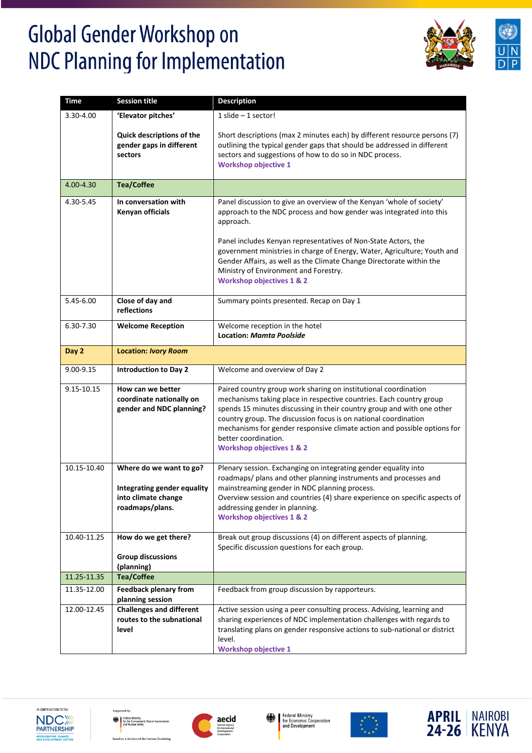



| <b>Time</b> | <b>Session title</b>                                                                             | <b>Description</b>                                                                                                                                                                                                                                                                                                                                                                                                                                               |
|-------------|--------------------------------------------------------------------------------------------------|------------------------------------------------------------------------------------------------------------------------------------------------------------------------------------------------------------------------------------------------------------------------------------------------------------------------------------------------------------------------------------------------------------------------------------------------------------------|
| 3.30-4.00   | 'Elevator pitches'                                                                               | $1$ slide $-1$ sector!                                                                                                                                                                                                                                                                                                                                                                                                                                           |
|             | Quick descriptions of the<br>gender gaps in different<br>sectors                                 | Short descriptions (max 2 minutes each) by different resource persons (7)<br>outlining the typical gender gaps that should be addressed in different<br>sectors and suggestions of how to do so in NDC process.<br><b>Workshop objective 1</b>                                                                                                                                                                                                                   |
| 4.00-4.30   | <b>Tea/Coffee</b>                                                                                |                                                                                                                                                                                                                                                                                                                                                                                                                                                                  |
| 4.30-5.45   | In conversation with<br>Kenyan officials                                                         | Panel discussion to give an overview of the Kenyan 'whole of society'<br>approach to the NDC process and how gender was integrated into this<br>approach.<br>Panel includes Kenyan representatives of Non-State Actors, the<br>government ministries in charge of Energy, Water, Agriculture; Youth and<br>Gender Affairs, as well as the Climate Change Directorate within the<br>Ministry of Environment and Forestry.<br><b>Workshop objectives 1 &amp; 2</b> |
| 5.45-6.00   | Close of day and<br>reflections                                                                  | Summary points presented. Recap on Day 1                                                                                                                                                                                                                                                                                                                                                                                                                         |
| 6.30-7.30   | <b>Welcome Reception</b>                                                                         | Welcome reception in the hotel<br><b>Location: Mamta Poolside</b>                                                                                                                                                                                                                                                                                                                                                                                                |
| Day 2       | <b>Location: Ivory Room</b>                                                                      |                                                                                                                                                                                                                                                                                                                                                                                                                                                                  |
| 9.00-9.15   | <b>Introduction to Day 2</b>                                                                     | Welcome and overview of Day 2                                                                                                                                                                                                                                                                                                                                                                                                                                    |
| 9.15-10.15  | How can we better<br>coordinate nationally on<br>gender and NDC planning?                        | Paired country group work sharing on institutional coordination<br>mechanisms taking place in respective countries. Each country group<br>spends 15 minutes discussing in their country group and with one other<br>country group. The discussion focus is on national coordination<br>mechanisms for gender responsive climate action and possible options for<br>better coordination.<br><b>Workshop objectives 1 &amp; 2</b>                                  |
| 10.15-10.40 | Where do we want to go?<br>Integrating gender equality<br>into climate change<br>roadmaps/plans. | Plenary session. Exchanging on integrating gender equality into<br>roadmaps/ plans and other planning instruments and processes and<br>mainstreaming gender in NDC planning process.<br>Overview session and countries (4) share experience on specific aspects of<br>addressing gender in planning.<br><b>Workshop objectives 1 &amp; 2</b>                                                                                                                     |
| 10.40-11.25 | How do we get there?<br><b>Group discussions</b><br>(planning)                                   | Break out group discussions (4) on different aspects of planning.<br>Specific discussion questions for each group.                                                                                                                                                                                                                                                                                                                                               |
| 11.25-11.35 | <b>Tea/Coffee</b>                                                                                |                                                                                                                                                                                                                                                                                                                                                                                                                                                                  |
| 11.35-12.00 | <b>Feedback plenary from</b><br>planning session                                                 | Feedback from group discussion by rapporteurs.                                                                                                                                                                                                                                                                                                                                                                                                                   |
| 12.00-12.45 | <b>Challenges and different</b><br>routes to the subnational<br>level                            | Active session using a peer consulting process. Advising, learning and<br>sharing experiences of NDC implementation challenges with regards to<br>translating plans on gender responsive actions to sub-national or district<br>level.<br><b>Workshop objective 1</b>                                                                                                                                                                                            |